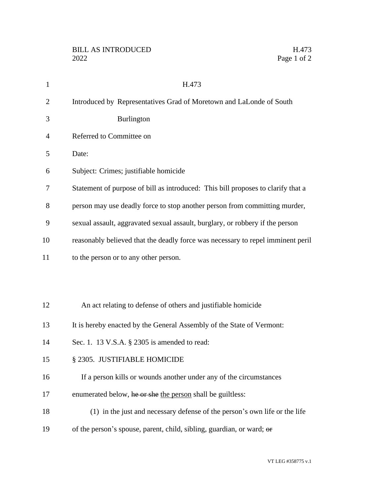| $\mathbf{1}$   | H.473                                                                            |
|----------------|----------------------------------------------------------------------------------|
| $\overline{2}$ | Introduced by Representatives Grad of Moretown and LaLonde of South              |
| 3              | Burlington                                                                       |
| $\overline{4}$ | Referred to Committee on                                                         |
| 5              | Date:                                                                            |
| 6              | Subject: Crimes; justifiable homicide                                            |
| 7              | Statement of purpose of bill as introduced: This bill proposes to clarify that a |
| 8              | person may use deadly force to stop another person from committing murder,       |
| 9              | sexual assault, aggravated sexual assault, burglary, or robbery if the person    |
| 10             | reasonably believed that the deadly force was necessary to repel imminent peril  |
| 11             | to the person or to any other person.                                            |
|                |                                                                                  |
|                |                                                                                  |
| 12             | An act relating to defense of others and justifiable homicide                    |
| 13             | It is hereby enacted by the General Assembly of the State of Vermont:            |
| 14             | Sec. 1. 13 V.S.A. § 2305 is amended to read:                                     |
| 15             | § 2305. JUSTIFIABLE HOMICIDE                                                     |
| 16             | If a person kills or wounds another under any of the circumstances               |
| 17             | enumerated below, he or she the person shall be guiltless:                       |
| 18             | (1) in the just and necessary defense of the person's own life or the life       |
| 19             | of the person's spouse, parent, child, sibling, guardian, or ward; or            |
|                |                                                                                  |